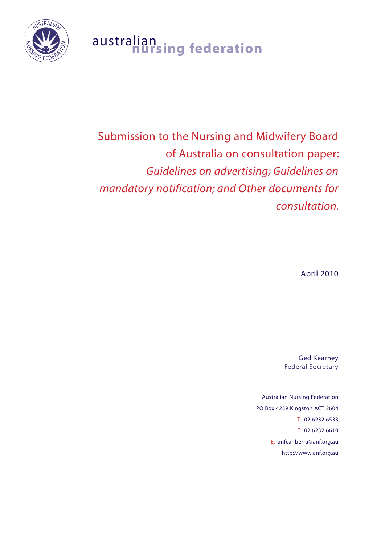

## australian **nursing federation**

# Submission to the Nursing and Midwifery Board of Australia on consultation paper: *Guidelines on advertising; Guidelines on mandatory notification; and Other documents for consultation.*

April 2010

Ged Kearney Federal Secretary

Australian Nursing Federation PO Box 4239 Kingston ACT 2604 T: 02 6232 6533 F: 02 6232 6610 E: anfcanberra@anf.org.au http://www.anf.org.au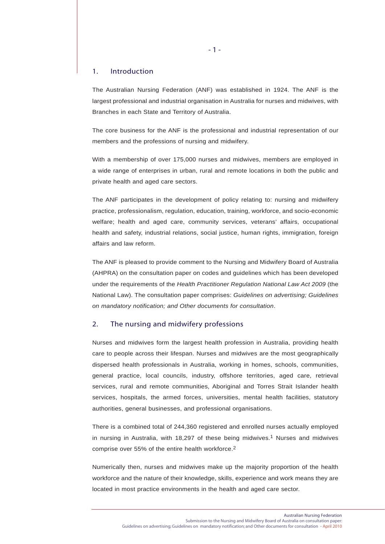#### 1. Introduction

The Australian Nursing Federation (ANF) was established in 1924. The ANF is the largest professional and industrial organisation in Australia for nurses and midwives, with Branches in each State and Territory of Australia.

The core business for the ANF is the professional and industrial representation of our members and the professions of nursing and midwifery.

With a membership of over 175,000 nurses and midwives, members are employed in a wide range of enterprises in urban, rural and remote locations in both the public and private health and aged care sectors.

The ANF participates in the development of policy relating to: nursing and midwifery practice, professionalism, regulation, education, training, workforce, and socio-economic welfare; health and aged care, community services, veterans' affairs, occupational health and safety, industrial relations, social justice, human rights, immigration, foreign affairs and law reform.

The ANF is pleased to provide comment to the Nursing and Midwifery Board of Australia (AHPRA) on the consultation paper on codes and guidelines which has been developed under the requirements of the *Health Practitioner Regulation National Law Act 2009* (the National Law). The consultation paper comprises: *Guidelines on advertising; Guidelines on mandatory notification; and Other documents for consultation*.

#### 2. The nursing and midwifery professions

Nurses and midwives form the largest health profession in Australia, providing health care to people across their lifespan. Nurses and midwives are the most geographically dispersed health professionals in Australia, working in homes, schools, communities, general practice, local councils, industry, offshore territories, aged care, retrieval services, rural and remote communities, Aboriginal and Torres Strait Islander health services, hospitals, the armed forces, universities, mental health facilities, statutory authorities, general businesses, and professional organisations.

There is a combined total of 244,360 registered and enrolled nurses actually employed in nursing in Australia, with 18,297 of these being midwives.1 Nurses and midwives comprise over 55% of the entire health workforce.2

Numerically then, nurses and midwives make up the majority proportion of the health workforce and the nature of their knowledge, skills, experience and work means they are located in most practice environments in the health and aged care sector.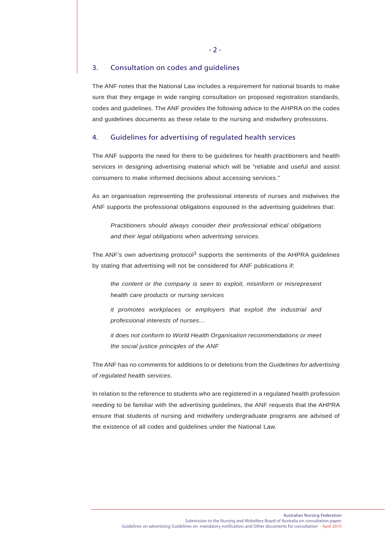#### 3. Consultation on codes and guidelines

The ANF notes that the National Law includes a requirement for national boards to make sure that they engage in wide ranging consultation on proposed registration standards, codes and guidelines. The ANF provides the following advice to the AHPRA on the codes and guidelines documents as these relate to the nursing and midwifery professions.

#### 4. Guidelines for advertising of regulated health services

The ANF supports the need for there to be guidelines for health practitioners and health services in designing advertising material which will be "reliable and useful and assist consumers to make informed decisions about accessing services."

As an organisation representing the professional interests of nurses and midwives the ANF supports the professional obligations espoused in the advertising guidelines that:

*Practitioners should always consider their professional ethical obligations and their legal obligations when advertising services.*

The ANF's own advertising protocol<sup>3</sup> supports the sentiments of the AHPRA guidelines by stating that advertising will not be considered for ANF publications if:

*the content or the company is seen to exploit, misinform or misrepresent health care products or nursing services*

*it promotes workplaces or employers that exploit the industrial and professional interests of nurses…*

*it does not conform to World Health Organisation recommendations or meet the social justice principles of the ANF*

The ANF has no comments for additions to or deletions from the *Guidelines for advertising of regulated health services*.

In relation to the reference to students who are registered in a regulated health profession needing to be familiar with the advertising guidelines, the ANF requests that the AHPRA ensure that students of nursing and midwifery undergraduate programs are advised of the existence of all codes and guidelines under the National Law.

- 2 -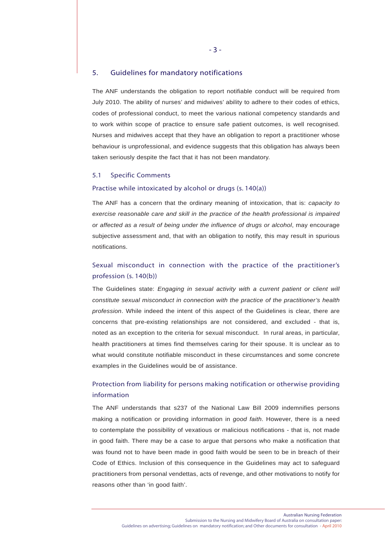#### 5. Guidelines for mandatory notifications

The ANF understands the obligation to report notifiable conduct will be required from July 2010. The ability of nurses' and midwives' ability to adhere to their codes of ethics, codes of professional conduct, to meet the various national competency standards and to work within scope of practice to ensure safe patient outcomes, is well recognised. Nurses and midwives accept that they have an obligation to report a practitioner whose behaviour is unprofessional, and evidence suggests that this obligation has always been taken seriously despite the fact that it has not been mandatory.

#### 5.1 Specific Comments

#### Practise while intoxicated by alcohol or drugs (s. 140(a))

The ANF has a concern that the ordinary meaning of intoxication, that is: *capacity to exercise reasonable care and skill in the practice of the health professional is impaired or affected as a result of being under the influence of drugs or alcohol*, may encourage subjective assessment and, that with an obligation to notify, this may result in spurious notifications.

## Sexual misconduct in connection with the practice of the practitioner's profession (s. 140(b))

The Guidelines state: *Engaging in sexual activity with a current patient or client will constitute sexual misconduct in connection with the practice of the practitioner's health profession*. While indeed the intent of this aspect of the Guidelines is clear, there are concerns that pre-existing relationships are not considered, and excluded - that is, noted as an exception to the criteria for sexual misconduct. In rural areas, in particular, health practitioners at times find themselves caring for their spouse. It is unclear as to what would constitute notifiable misconduct in these circumstances and some concrete examples in the Guidelines would be of assistance.

## Protection from liability for persons making notification or otherwise providing information

The ANF understands that s237 of the National Law Bill 2009 indemnifies persons making a notification or providing information in *good faith*. However, there is a need to contemplate the possibility of vexatious or malicious notifications - that is, not made in good faith. There may be a case to argue that persons who make a notification that was found not to have been made in good faith would be seen to be in breach of their Code of Ethics. Inclusion of this consequence in the Guidelines may act to safeguard practitioners from personal vendettas, acts of revenge, and other motivations to notify for reasons other than 'in good faith'.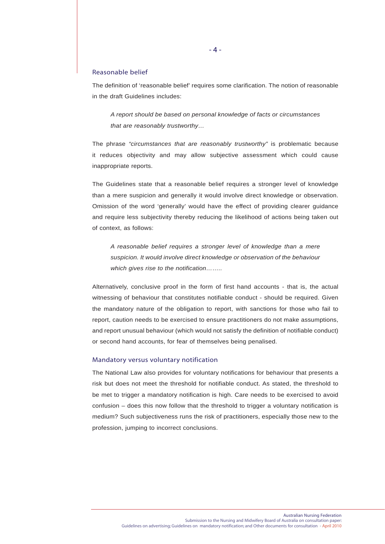#### Reasonable belief

The definition of 'reasonable belief' requires some clarification. The notion of reasonable in the draft Guidelines includes:

*A report should be based on personal knowledge of facts or circumstances that are reasonably trustworthy…*

The phrase *"circumstances that are reasonably trustworthy"* is problematic because it reduces objectivity and may allow subjective assessment which could cause inappropriate reports.

The Guidelines state that a reasonable belief requires a stronger level of knowledge than a mere suspicion and generally it would involve direct knowledge or observation. Omission of the word 'generally' would have the effect of providing clearer guidance and require less subjectivity thereby reducing the likelihood of actions being taken out of context, as follows:

*A reasonable belief requires a stronger level of knowledge than a mere suspicion. It would involve direct knowledge or observation of the behaviour which gives rise to the notification……..*

Alternatively, conclusive proof in the form of first hand accounts - that is, the actual witnessing of behaviour that constitutes notifiable conduct - should be required. Given the mandatory nature of the obligation to report, with sanctions for those who fail to report, caution needs to be exercised to ensure practitioners do not make assumptions, and report unusual behaviour (which would not satisfy the definition of notifiable conduct) or second hand accounts, for fear of themselves being penalised.

#### Mandatory versus voluntary notification

The National Law also provides for voluntary notifications for behaviour that presents a risk but does not meet the threshold for notifiable conduct. As stated, the threshold to be met to trigger a mandatory notification is high. Care needs to be exercised to avoid confusion – does this now follow that the threshold to trigger a voluntary notification is medium? Such subjectiveness runs the risk of practitioners, especially those new to the profession, jumping to incorrect conclusions.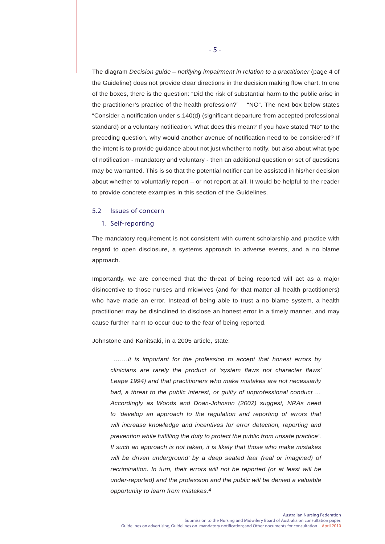The diagram *Decision guide – notifying impairment in relation to a practitioner* (page 4 of the Guideline) does not provide clear directions in the decision making flow chart. In one of the boxes, there is the question: "Did the risk of substantial harm to the public arise in the practitioner's practice of the health profession?" "NO". The next box below states "Consider a notification under s.140(d) (significant departure from accepted professional standard) or a voluntary notification. What does this mean? If you have stated "No" to the preceding question, why would another avenue of notification need to be considered? If the intent is to provide guidance about not just whether to notify, but also about what type of notification - mandatory and voluntary - then an additional question or set of questions may be warranted. This is so that the potential notifier can be assisted in his/her decision about whether to voluntarily report – or not report at all. It would be helpful to the reader to provide concrete examples in this section of the Guidelines.

#### 5.2 Issues of concern

#### 1. Self-reporting

The mandatory requirement is not consistent with current scholarship and practice with regard to open disclosure, a systems approach to adverse events, and a no blame approach.

Importantly, we are concerned that the threat of being reported will act as a major disincentive to those nurses and midwives (and for that matter all health practitioners) who have made an error. Instead of being able to trust a no blame system, a health practitioner may be disinclined to disclose an honest error in a timely manner, and may cause further harm to occur due to the fear of being reported.

Johnstone and Kanitsaki, in a 2005 article, state:

 *…….it is important for the profession to accept that honest errors by clinicians are rarely the product of 'system flaws not character flaws' Leape 1994) and that practitioners who make mistakes are not necessarily bad, a threat to the public interest, or guilty of unprofessional conduct … Accordingly as Woods and Doan-Johnson (2002) suggest, NRAs need to 'develop an approach to the regulation and reporting of errors that will increase knowledge and incentives for error detection, reporting and prevention while fulfilling the duty to protect the public from unsafe practice'. If such an approach is not taken, it is likely that those who make mistakes will be driven underground' by a deep seated fear (real or imagined) of recrimination. In turn, their errors will not be reported (or at least will be under-reported) and the profession and the public will be denied a valuable opportunity to learn from mistakes.*4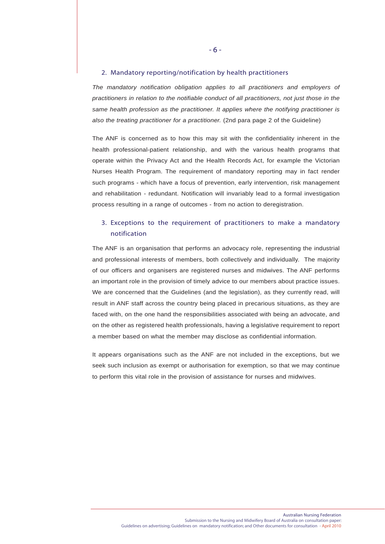#### 2. Mandatory reporting/notification by health practitioners

*The mandatory notification obligation applies to all practitioners and employers of practitioners in relation to the notifiable conduct of all practitioners, not just those in the same health profession as the practitioner. It applies where the notifying practitioner is also the treating practitioner for a practitioner.* (2nd para page 2 of the Guideline)

The ANF is concerned as to how this may sit with the confidentiality inherent in the health professional-patient relationship, and with the various health programs that operate within the Privacy Act and the Health Records Act, for example the Victorian Nurses Health Program. The requirement of mandatory reporting may in fact render such programs - which have a focus of prevention, early intervention, risk management and rehabilitation - redundant. Notification will invariably lead to a formal investigation process resulting in a range of outcomes - from no action to deregistration.

### 3. Exceptions to the requirement of practitioners to make a mandatory notification

The ANF is an organisation that performs an advocacy role, representing the industrial and professional interests of members, both collectively and individually. The majority of our officers and organisers are registered nurses and midwives. The ANF performs an important role in the provision of timely advice to our members about practice issues. We are concerned that the Guidelines (and the legislation), as they currently read, will result in ANF staff across the country being placed in precarious situations, as they are faced with, on the one hand the responsibilities associated with being an advocate, and on the other as registered health professionals, having a legislative requirement to report a member based on what the member may disclose as confidential information.

It appears organisations such as the ANF are not included in the exceptions, but we seek such inclusion as exempt or authorisation for exemption, so that we may continue to perform this vital role in the provision of assistance for nurses and midwives.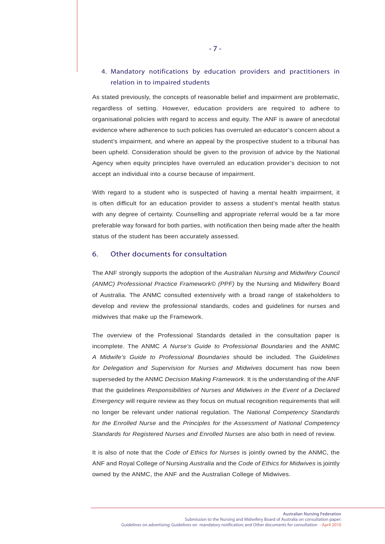## 4. Mandatory notifications by education providers and practitioners in relation in to impaired students

As stated previously, the concepts of reasonable belief and impairment are problematic, regardless of setting. However, education providers are required to adhere to organisational policies with regard to access and equity. The ANF is aware of anecdotal evidence where adherence to such policies has overruled an educator's concern about a student's impairment, and where an appeal by the prospective student to a tribunal has been upheld. Consideration should be given to the provision of advice by the National Agency when equity principles have overruled an education provider's decision to not accept an individual into a course because of impairment.

With regard to a student who is suspected of having a mental health impairment, it is often difficult for an education provider to assess a student's mental health status with any degree of certainty. Counselling and appropriate referral would be a far more preferable way forward for both parties, with notification then being made after the health status of the student has been accurately assessed.

#### 6. Other documents for consultation

The ANF strongly supports the adoption of the *Australian Nursing and Midwifery Council (ANMC) Professional Practice Framework© (PPF)* by the Nursing and Midwifery Board of Australia. The ANMC consulted extensively with a broad range of stakeholders to develop and review the professional standards, codes and guidelines for nurses and midwives that make up the Framework.

The overview of the Professional Standards detailed in the consultation paper is incomplete. The ANMC *A Nurse's Guide to Professional Boundaries* and the ANMC *A Midwife's Guide to Professional Boundaries* should be included. The *Guidelines for Delegation and Supervision for Nurses and Midwives* document has now been superseded by the ANMC *Decision Making Framework*. It is the understanding of the ANF that the guidelines *Responsibilities of Nurses and Midwives in the Event of a Declared Emergency* will require review as they focus on mutual recognition requirements that will no longer be relevant under national regulation. The *National Competency Standards for the Enrolled Nurse* and the *Principles for the Assessment of National Competency Standards for Registered Nurses and Enrolled Nurses* are also both in need of review.

It is also of note that the *Code of Ethics for Nurses* is jointly owned by the ANMC, the ANF and Royal College *of* Nursing *Australia* and the *Code of Ethics for Midwives* is jointly owned by the ANMC, the ANF and the Australian College of Midwives.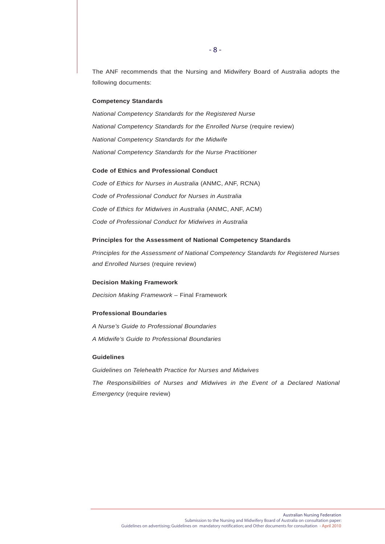The ANF recommends that the Nursing and Midwifery Board of Australia adopts the following documents:

#### **Competency Standards**

*National Competency Standards for the Registered Nurse National Competency Standards for the Enrolled Nurse* (require review) *National Competency Standards for the Midwife National Competency Standards for the Nurse Practitioner*

#### **Code of Ethics and Professional Conduct**

*Code of Ethics for Nurses in Australia* (ANMC, ANF, RCNA) *Code of Professional Conduct for Nurses in Australia Code of Ethics for Midwives in Australia* (ANMC, ANF, ACM) *Code of Professional Conduct for Midwives in Australia*

#### **Principles for the Assessment of National Competency Standards**

*Principles for the Assessment of National Competency Standards for Registered Nurses and Enrolled Nurses* (require review)

#### **Decision Making Framework**

*Decision Making Framework* – Final Framework

#### **Professional Boundaries**

*A Nurse's Guide to Professional Boundaries A Midwife's Guide to Professional Boundaries*

#### **Guidelines**

*Guidelines on Telehealth Practice for Nurses and Midwives The Responsibilities of Nurses and Midwives in the Event of a Declared National Emergency* (require review)